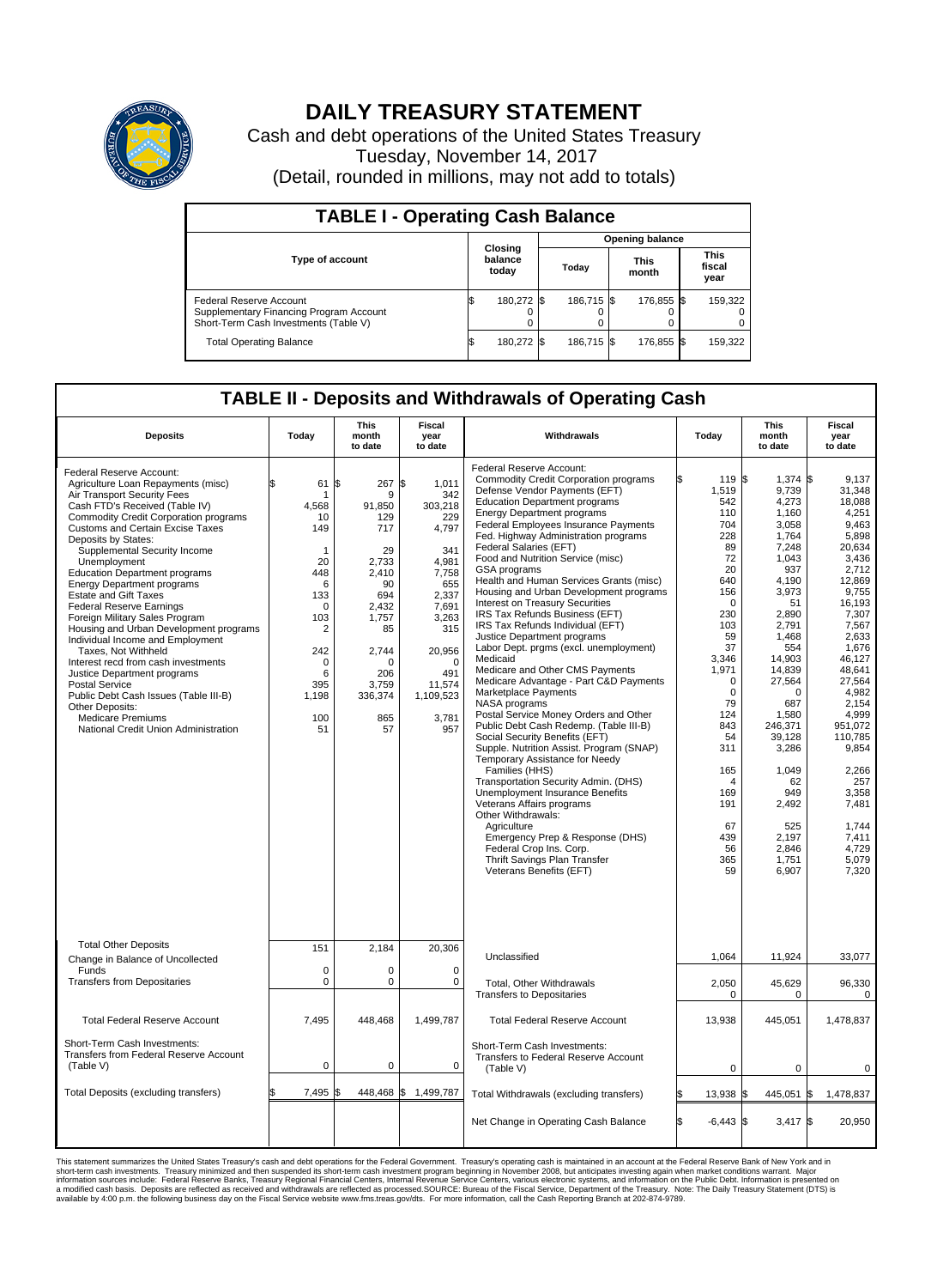

## **DAILY TREASURY STATEMENT**

Cash and debt operations of the United States Treasury Tuesday, November 14, 2017 (Detail, rounded in millions, may not add to totals)

| <b>TABLE I - Operating Cash Balance</b>                                                                     |    |                             |  |                        |  |                      |  |                               |  |  |  |
|-------------------------------------------------------------------------------------------------------------|----|-----------------------------|--|------------------------|--|----------------------|--|-------------------------------|--|--|--|
|                                                                                                             |    |                             |  | <b>Opening balance</b> |  |                      |  |                               |  |  |  |
| <b>Type of account</b>                                                                                      |    | Closing<br>balance<br>today |  | Today                  |  | <b>This</b><br>month |  | <b>This</b><br>fiscal<br>year |  |  |  |
| Federal Reserve Account<br>Supplementary Financing Program Account<br>Short-Term Cash Investments (Table V) |    | 180,272 \$                  |  | 186.715 \$             |  | 176,855 \$           |  | 159,322                       |  |  |  |
| <b>Total Operating Balance</b>                                                                              | IЭ | 180,272 \$                  |  | 186.715 \$             |  | 176,855 \$           |  | 159,322                       |  |  |  |

## **TABLE II - Deposits and Withdrawals of Operating Cash**

| <b>Deposits</b>                                                                                                                                                                                                                                                                                                                                                                                                                                                                                                                                                                                                                                                                                                                                                                                                  | Today                                                                                                                                                               | <b>This</b><br>month<br>to date                                                                                                                           | <b>Fiscal</b><br>year<br>to date                                                                                                                                                    | Withdrawals                                                                                                                                                                                                                                                                                                                                                                                                                                                                                                                                                                                                                                                                                                                                                                                                                                                                                                                                                                                                                                                                                                                                                                                                                                                             | Today                                                                                                                                                                                                                                                                     | <b>This</b><br>month<br>to date                                                                                                                                                                                                                                                                              | <b>Fiscal</b><br>year<br>to date                                                                                                                                                                                                                                                                                         |
|------------------------------------------------------------------------------------------------------------------------------------------------------------------------------------------------------------------------------------------------------------------------------------------------------------------------------------------------------------------------------------------------------------------------------------------------------------------------------------------------------------------------------------------------------------------------------------------------------------------------------------------------------------------------------------------------------------------------------------------------------------------------------------------------------------------|---------------------------------------------------------------------------------------------------------------------------------------------------------------------|-----------------------------------------------------------------------------------------------------------------------------------------------------------|-------------------------------------------------------------------------------------------------------------------------------------------------------------------------------------|-------------------------------------------------------------------------------------------------------------------------------------------------------------------------------------------------------------------------------------------------------------------------------------------------------------------------------------------------------------------------------------------------------------------------------------------------------------------------------------------------------------------------------------------------------------------------------------------------------------------------------------------------------------------------------------------------------------------------------------------------------------------------------------------------------------------------------------------------------------------------------------------------------------------------------------------------------------------------------------------------------------------------------------------------------------------------------------------------------------------------------------------------------------------------------------------------------------------------------------------------------------------------|---------------------------------------------------------------------------------------------------------------------------------------------------------------------------------------------------------------------------------------------------------------------------|--------------------------------------------------------------------------------------------------------------------------------------------------------------------------------------------------------------------------------------------------------------------------------------------------------------|--------------------------------------------------------------------------------------------------------------------------------------------------------------------------------------------------------------------------------------------------------------------------------------------------------------------------|
| Federal Reserve Account:<br>Agriculture Loan Repayments (misc)<br>Air Transport Security Fees<br>Cash FTD's Received (Table IV)<br>Commodity Credit Corporation programs<br><b>Customs and Certain Excise Taxes</b><br>Deposits by States:<br>Supplemental Security Income<br>Unemployment<br><b>Education Department programs</b><br><b>Energy Department programs</b><br><b>Estate and Gift Taxes</b><br><b>Federal Reserve Earnings</b><br>Foreign Military Sales Program<br>Housing and Urban Development programs<br>Individual Income and Employment<br>Taxes, Not Withheld<br>Interest recd from cash investments<br>Justice Department programs<br><b>Postal Service</b><br>Public Debt Cash Issues (Table III-B)<br>Other Deposits:<br><b>Medicare Premiums</b><br>National Credit Union Administration | \$<br>61<br>-1<br>4,568<br>10<br>149<br>$\mathbf{1}$<br>20<br>448<br>6<br>133<br>$\mathbf 0$<br>103<br>$\overline{2}$<br>242<br>0<br>6<br>395<br>1,198<br>100<br>51 | \$<br>267<br>9<br>91,850<br>129<br>717<br>29<br>2.733<br>2,410<br>90<br>694<br>2,432<br>1,757<br>85<br>2,744<br>O<br>206<br>3.759<br>336,374<br>865<br>57 | \$<br>1,011<br>342<br>303,218<br>229<br>4,797<br>341<br>4.981<br>7,758<br>655<br>2,337<br>7,691<br>3,263<br>315<br>20,956<br>$\Omega$<br>491<br>11,574<br>1,109,523<br>3,781<br>957 | Federal Reserve Account:<br><b>Commodity Credit Corporation programs</b><br>Defense Vendor Payments (EFT)<br><b>Education Department programs</b><br><b>Energy Department programs</b><br><b>Federal Employees Insurance Payments</b><br>Fed. Highway Administration programs<br>Federal Salaries (EFT)<br>Food and Nutrition Service (misc)<br><b>GSA</b> programs<br>Health and Human Services Grants (misc)<br>Housing and Urban Development programs<br>Interest on Treasury Securities<br>IRS Tax Refunds Business (EFT)<br>IRS Tax Refunds Individual (EFT)<br>Justice Department programs<br>Labor Dept. prgms (excl. unemployment)<br>Medicaid<br>Medicare and Other CMS Payments<br>Medicare Advantage - Part C&D Payments<br>Marketplace Payments<br>NASA programs<br>Postal Service Money Orders and Other<br>Public Debt Cash Redemp. (Table III-B)<br>Social Security Benefits (EFT)<br>Supple. Nutrition Assist. Program (SNAP)<br>Temporary Assistance for Needy<br>Families (HHS)<br>Transportation Security Admin. (DHS)<br>Unemployment Insurance Benefits<br>Veterans Affairs programs<br>Other Withdrawals:<br>Agriculture<br>Emergency Prep & Response (DHS)<br>Federal Crop Ins. Corp.<br>Thrift Savings Plan Transfer<br>Veterans Benefits (EFT) | 119 \$<br>1,519<br>542<br>110<br>704<br>228<br>89<br>72<br>20<br>640<br>156<br>$\Omega$<br>230<br>103<br>59<br>37<br>3,346<br>1,971<br>$\mathbf 0$<br>$\mathbf 0$<br>79<br>124<br>843<br>54<br>311<br>165<br>$\overline{4}$<br>169<br>191<br>67<br>439<br>56<br>365<br>59 | $1,374$ \$<br>9,739<br>4,273<br>1,160<br>3,058<br>1,764<br>7,248<br>1,043<br>937<br>4,190<br>3,973<br>51<br>2.890<br>2,791<br>1.468<br>554<br>14,903<br>14,839<br>27,564<br>$\Omega$<br>687<br>1,580<br>246,371<br>39.128<br>3,286<br>1,049<br>62<br>949<br>2,492<br>525<br>2,197<br>2,846<br>1,751<br>6,907 | 9.137<br>31,348<br>18,088<br>4,251<br>9,463<br>5.898<br>20,634<br>3,436<br>2.712<br>12,869<br>9,755<br>16,193<br>7.307<br>7,567<br>2,633<br>1,676<br>46,127<br>48,641<br>27,564<br>4,982<br>2,154<br>4,999<br>951.072<br>110.785<br>9,854<br>2,266<br>257<br>3,358<br>7,481<br>1,744<br>7,411<br>4.729<br>5,079<br>7,320 |
| <b>Total Other Deposits</b><br>Change in Balance of Uncollected                                                                                                                                                                                                                                                                                                                                                                                                                                                                                                                                                                                                                                                                                                                                                  | 151                                                                                                                                                                 | 2,184                                                                                                                                                     | 20,306                                                                                                                                                                              | Unclassified                                                                                                                                                                                                                                                                                                                                                                                                                                                                                                                                                                                                                                                                                                                                                                                                                                                                                                                                                                                                                                                                                                                                                                                                                                                            | 1,064                                                                                                                                                                                                                                                                     | 11,924                                                                                                                                                                                                                                                                                                       | 33,077                                                                                                                                                                                                                                                                                                                   |
| Funds<br><b>Transfers from Depositaries</b>                                                                                                                                                                                                                                                                                                                                                                                                                                                                                                                                                                                                                                                                                                                                                                      | $\mathbf 0$<br>$\mathbf 0$                                                                                                                                          | 0<br>0                                                                                                                                                    | $\mathbf 0$<br>$\mathbf 0$                                                                                                                                                          | Total, Other Withdrawals<br><b>Transfers to Depositaries</b>                                                                                                                                                                                                                                                                                                                                                                                                                                                                                                                                                                                                                                                                                                                                                                                                                                                                                                                                                                                                                                                                                                                                                                                                            | 2,050<br>0                                                                                                                                                                                                                                                                | 45,629<br>0                                                                                                                                                                                                                                                                                                  | 96,330<br>$\mathbf 0$                                                                                                                                                                                                                                                                                                    |
| <b>Total Federal Reserve Account</b>                                                                                                                                                                                                                                                                                                                                                                                                                                                                                                                                                                                                                                                                                                                                                                             | 7,495                                                                                                                                                               | 448,468                                                                                                                                                   | 1,499,787                                                                                                                                                                           | <b>Total Federal Reserve Account</b>                                                                                                                                                                                                                                                                                                                                                                                                                                                                                                                                                                                                                                                                                                                                                                                                                                                                                                                                                                                                                                                                                                                                                                                                                                    | 13,938                                                                                                                                                                                                                                                                    | 445,051                                                                                                                                                                                                                                                                                                      | 1,478,837                                                                                                                                                                                                                                                                                                                |
| Short-Term Cash Investments:<br>Transfers from Federal Reserve Account<br>(Table V)                                                                                                                                                                                                                                                                                                                                                                                                                                                                                                                                                                                                                                                                                                                              | $\pmb{0}$                                                                                                                                                           | 0                                                                                                                                                         | $\mathbf 0$                                                                                                                                                                         | Short-Term Cash Investments:<br>Transfers to Federal Reserve Account<br>(Table V)                                                                                                                                                                                                                                                                                                                                                                                                                                                                                                                                                                                                                                                                                                                                                                                                                                                                                                                                                                                                                                                                                                                                                                                       | $\mathbf 0$                                                                                                                                                                                                                                                               | $\mathbf 0$                                                                                                                                                                                                                                                                                                  | 0                                                                                                                                                                                                                                                                                                                        |
| Total Deposits (excluding transfers)                                                                                                                                                                                                                                                                                                                                                                                                                                                                                                                                                                                                                                                                                                                                                                             | 7,495<br>\$                                                                                                                                                         | \$                                                                                                                                                        | 448,468 \$1,499,787                                                                                                                                                                 | Total Withdrawals (excluding transfers)                                                                                                                                                                                                                                                                                                                                                                                                                                                                                                                                                                                                                                                                                                                                                                                                                                                                                                                                                                                                                                                                                                                                                                                                                                 | 13,938 \$                                                                                                                                                                                                                                                                 | 445,051                                                                                                                                                                                                                                                                                                      | 1\$<br>1,478,837                                                                                                                                                                                                                                                                                                         |
|                                                                                                                                                                                                                                                                                                                                                                                                                                                                                                                                                                                                                                                                                                                                                                                                                  |                                                                                                                                                                     |                                                                                                                                                           |                                                                                                                                                                                     | Net Change in Operating Cash Balance                                                                                                                                                                                                                                                                                                                                                                                                                                                                                                                                                                                                                                                                                                                                                                                                                                                                                                                                                                                                                                                                                                                                                                                                                                    | Ŝ.<br>$-6.443$ \$                                                                                                                                                                                                                                                         | $3.417$ \$                                                                                                                                                                                                                                                                                                   | 20.950                                                                                                                                                                                                                                                                                                                   |

This statement summarizes the United States Treasury's cash and debt operations for the Federal Government. Treasury soperating in November 2008, but anticiarded in a cocount at the Federal Reserve Bank of New York and in<br>